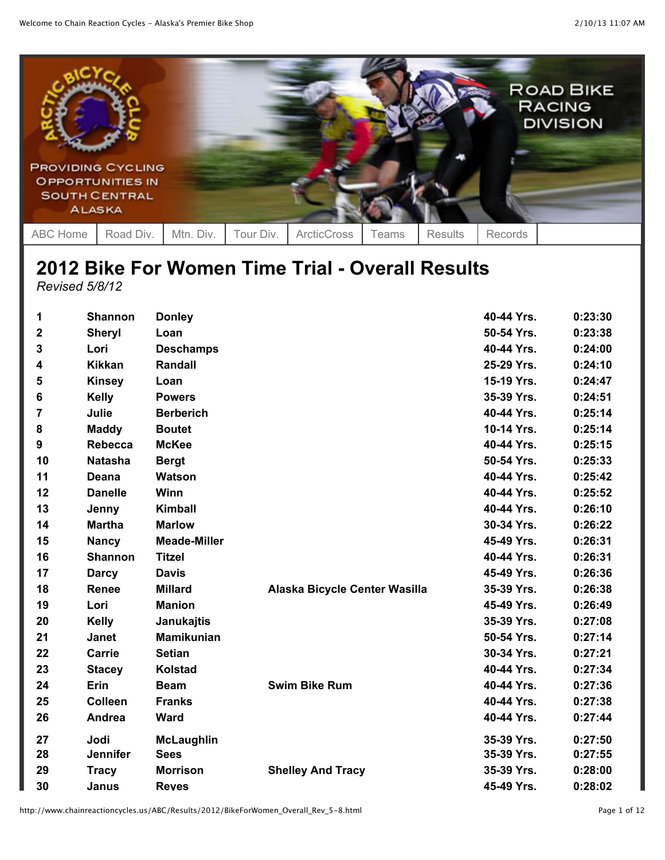

## **2012 Bike For Women Time Trial - Overall Results** *Revised 5/8/12*

| 1           | <b>Shannon</b>  | <b>Donley</b>       |                               | 40-44 Yrs. | 0:23:30 |
|-------------|-----------------|---------------------|-------------------------------|------------|---------|
| $\mathbf 2$ | <b>Sheryl</b>   | Loan                |                               | 50-54 Yrs. | 0:23:38 |
| 3           | Lori            | <b>Deschamps</b>    |                               | 40-44 Yrs. | 0:24:00 |
| 4           | <b>Kikkan</b>   | <b>Randall</b>      |                               | 25-29 Yrs. | 0:24:10 |
| 5           | <b>Kinsey</b>   | Loan                |                               | 15-19 Yrs. | 0:24:47 |
| 6           | <b>Kelly</b>    | <b>Powers</b>       |                               | 35-39 Yrs. | 0:24:51 |
| 7           | Julie           | <b>Berberich</b>    |                               | 40-44 Yrs. | 0:25:14 |
| 8           | <b>Maddy</b>    | <b>Boutet</b>       |                               | 10-14 Yrs. | 0:25:14 |
| 9           | <b>Rebecca</b>  | <b>McKee</b>        |                               | 40-44 Yrs. | 0:25:15 |
| 10          | <b>Natasha</b>  | <b>Bergt</b>        |                               | 50-54 Yrs. | 0:25:33 |
| 11          | Deana           | Watson              |                               | 40-44 Yrs. | 0:25:42 |
| 12          | <b>Danelle</b>  | Winn                |                               | 40-44 Yrs. | 0:25:52 |
| 13          | Jenny           | <b>Kimball</b>      |                               | 40-44 Yrs. | 0:26:10 |
| 14          | <b>Martha</b>   | <b>Marlow</b>       |                               | 30-34 Yrs. | 0:26:22 |
| 15          | <b>Nancy</b>    | <b>Meade-Miller</b> |                               | 45-49 Yrs. | 0:26:31 |
| 16          | <b>Shannon</b>  | <b>Titzel</b>       |                               | 40-44 Yrs. | 0:26:31 |
| 17          | <b>Darcy</b>    | <b>Davis</b>        |                               | 45-49 Yrs. | 0:26:36 |
| 18          | Renee           | <b>Millard</b>      | Alaska Bicycle Center Wasilla | 35-39 Yrs. | 0:26:38 |
| 19          | Lori            | <b>Manion</b>       |                               | 45-49 Yrs. | 0:26:49 |
| 20          | <b>Kelly</b>    | <b>Janukajtis</b>   |                               | 35-39 Yrs. | 0:27:08 |
| 21          | <b>Janet</b>    | <b>Mamikunian</b>   |                               | 50-54 Yrs. | 0:27:14 |
| 22          | Carrie          | <b>Setian</b>       |                               | 30-34 Yrs. | 0:27:21 |
| 23          | <b>Stacey</b>   | <b>Kolstad</b>      |                               | 40-44 Yrs. | 0:27:34 |
| 24          | Erin            | <b>Beam</b>         | <b>Swim Bike Rum</b>          | 40-44 Yrs. | 0:27:36 |
| 25          | <b>Colleen</b>  | <b>Franks</b>       |                               | 40-44 Yrs. | 0:27:38 |
| 26          | Andrea          | <b>Ward</b>         |                               | 40-44 Yrs. | 0:27:44 |
| 27          | Jodi            | <b>McLaughlin</b>   |                               | 35-39 Yrs. | 0:27:50 |
| 28          | <b>Jennifer</b> | <b>Sees</b>         |                               | 35-39 Yrs. | 0:27:55 |
| 29          | <b>Tracy</b>    | <b>Morrison</b>     | <b>Shelley And Tracy</b>      | 35-39 Yrs. | 0:28:00 |
| 30          | Janus           | <b>Reves</b>        |                               | 45-49 Yrs. | 0:28:02 |

http://www.chainreactioncycles.us/ABC/Results/2012/BikeForWomen\_Overall\_Rev\_5-8.html Page 1 of 12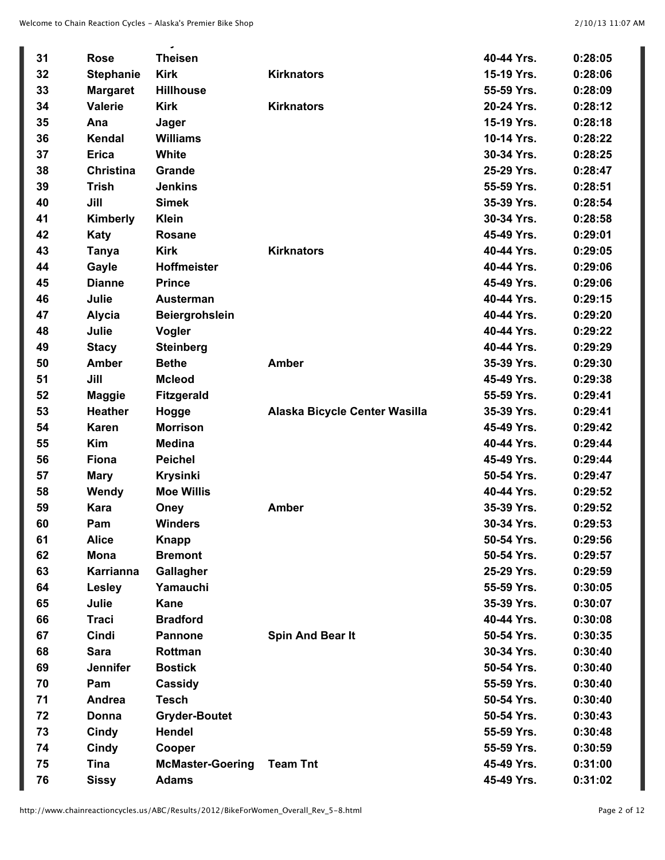|    |                  | د د ن                   |                               |            |         |
|----|------------------|-------------------------|-------------------------------|------------|---------|
| 31 | <b>Rose</b>      | <b>Theisen</b>          |                               | 40-44 Yrs. | 0:28:05 |
| 32 | <b>Stephanie</b> | <b>Kirk</b>             | <b>Kirknators</b>             | 15-19 Yrs. | 0:28:06 |
| 33 | <b>Margaret</b>  | <b>Hillhouse</b>        |                               | 55-59 Yrs. | 0:28:09 |
| 34 | <b>Valerie</b>   | <b>Kirk</b>             | <b>Kirknators</b>             | 20-24 Yrs. | 0:28:12 |
| 35 | Ana              | Jager                   |                               | 15-19 Yrs. | 0:28:18 |
| 36 | Kendal           | <b>Williams</b>         |                               | 10-14 Yrs. | 0:28:22 |
| 37 | <b>Erica</b>     | White                   |                               | 30-34 Yrs. | 0:28:25 |
| 38 | <b>Christina</b> | Grande                  |                               | 25-29 Yrs. | 0:28:47 |
| 39 | <b>Trish</b>     | <b>Jenkins</b>          |                               | 55-59 Yrs. | 0:28:51 |
| 40 | Jill             | <b>Simek</b>            |                               | 35-39 Yrs. | 0:28:54 |
| 41 | Kimberly         | <b>Klein</b>            |                               | 30-34 Yrs. | 0:28:58 |
| 42 | Katy             | <b>Rosane</b>           |                               | 45-49 Yrs. | 0:29:01 |
| 43 | <b>Tanya</b>     | <b>Kirk</b>             | <b>Kirknators</b>             | 40-44 Yrs. | 0:29:05 |
| 44 | Gayle            | Hoffmeister             |                               | 40-44 Yrs. | 0:29:06 |
| 45 | <b>Dianne</b>    | <b>Prince</b>           |                               | 45-49 Yrs. | 0:29:06 |
| 46 | Julie            | <b>Austerman</b>        |                               | 40-44 Yrs. | 0:29:15 |
| 47 | <b>Alycia</b>    | <b>Beiergrohslein</b>   |                               | 40-44 Yrs. | 0:29:20 |
| 48 | Julie            | Vogler                  |                               | 40-44 Yrs. | 0:29:22 |
| 49 | <b>Stacy</b>     | <b>Steinberg</b>        |                               | 40-44 Yrs. | 0:29:29 |
| 50 | <b>Amber</b>     | <b>Bethe</b>            | <b>Amber</b>                  | 35-39 Yrs. | 0:29:30 |
| 51 | Jill             | <b>Mcleod</b>           |                               | 45-49 Yrs. | 0:29:38 |
| 52 | <b>Maggie</b>    | <b>Fitzgerald</b>       |                               | 55-59 Yrs. | 0:29:41 |
| 53 | <b>Heather</b>   | Hogge                   | Alaska Bicycle Center Wasilla | 35-39 Yrs. | 0:29:41 |
| 54 | <b>Karen</b>     | <b>Morrison</b>         |                               | 45-49 Yrs. | 0:29:42 |
| 55 | <b>Kim</b>       | <b>Medina</b>           |                               | 40-44 Yrs. | 0:29:44 |
| 56 | Fiona            | <b>Peichel</b>          |                               | 45-49 Yrs. | 0:29:44 |
| 57 | <b>Mary</b>      | <b>Krysinki</b>         |                               | 50-54 Yrs. | 0:29:47 |
| 58 | Wendy            | <b>Moe Willis</b>       |                               | 40-44 Yrs. | 0:29:52 |
| 59 | <b>Kara</b>      | Oney                    | <b>Amber</b>                  | 35-39 Yrs. | 0:29:52 |
| 60 | Pam              | <b>Winders</b>          |                               | 30-34 Yrs  | 0:29:53 |
| 61 | <b>Alice</b>     | <b>Knapp</b>            |                               | 50-54 Yrs. | 0:29:56 |
| 62 | <b>Mona</b>      | <b>Bremont</b>          |                               | 50-54 Yrs. | 0:29:57 |
| 63 | <b>Karrianna</b> | Gallagher               |                               | 25-29 Yrs. | 0:29:59 |
| 64 | Lesley           | Yamauchi                |                               | 55-59 Yrs. | 0:30:05 |
| 65 | Julie            | <b>Kane</b>             |                               | 35-39 Yrs. | 0:30:07 |
| 66 | <b>Traci</b>     | <b>Bradford</b>         |                               | 40-44 Yrs. | 0:30:08 |
| 67 | Cindi            | <b>Pannone</b>          | Spin And Bear It              | 50-54 Yrs. | 0:30:35 |
| 68 | <b>Sara</b>      | Rottman                 |                               | 30-34 Yrs. | 0:30:40 |
| 69 | Jennifer         | <b>Bostick</b>          |                               | 50-54 Yrs. | 0:30:40 |
| 70 | Pam              | Cassidy                 |                               | 55-59 Yrs. | 0:30:40 |
| 71 | Andrea           | <b>Tesch</b>            |                               | 50-54 Yrs. | 0:30:40 |
| 72 | Donna            | <b>Gryder-Boutet</b>    |                               | 50-54 Yrs. | 0:30:43 |
| 73 | Cindy            | <b>Hendel</b>           |                               | 55-59 Yrs. | 0:30:48 |
| 74 | Cindy            | Cooper                  |                               | 55-59 Yrs. | 0:30:59 |
| 75 | <b>Tina</b>      | <b>McMaster-Goering</b> | <b>Team Tnt</b>               | 45-49 Yrs. | 0:31:00 |
| 76 | <b>Sissy</b>     | <b>Adams</b>            |                               | 45-49 Yrs. | 0:31:02 |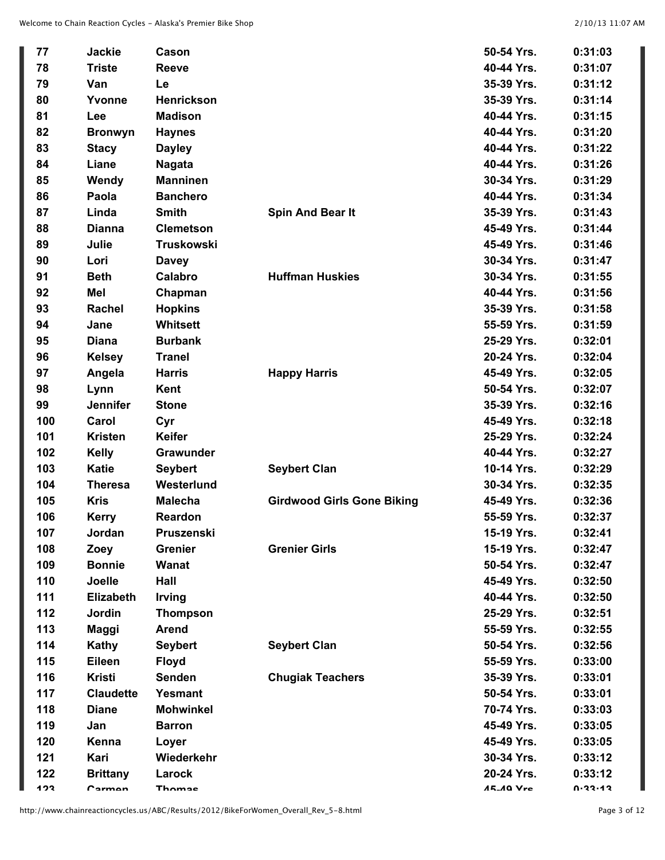| 77  | <b>Jackie</b>    | Cason             |                                   | 50-54 Yrs.       | 0:31:03 |
|-----|------------------|-------------------|-----------------------------------|------------------|---------|
| 78  | <b>Triste</b>    | <b>Reeve</b>      |                                   | 40-44 Yrs.       | 0:31:07 |
| 79  | Van              | Le                |                                   | 35-39 Yrs.       | 0:31:12 |
| 80  | Yvonne           | Henrickson        |                                   | 35-39 Yrs.       | 0:31:14 |
| 81  | Lee              | <b>Madison</b>    |                                   | 40-44 Yrs.       | 0:31:15 |
| 82  | <b>Bronwyn</b>   | <b>Haynes</b>     |                                   | 40-44 Yrs.       | 0:31:20 |
| 83  | <b>Stacy</b>     | <b>Dayley</b>     |                                   | 40-44 Yrs.       | 0:31:22 |
| 84  | Liane            | <b>Nagata</b>     |                                   | 40-44 Yrs.       | 0:31:26 |
| 85  | Wendy            | <b>Manninen</b>   |                                   | 30-34 Yrs.       | 0:31:29 |
| 86  | Paola            | <b>Banchero</b>   |                                   | 40-44 Yrs.       | 0:31:34 |
| 87  | Linda            | <b>Smith</b>      | Spin And Bear It                  | 35-39 Yrs.       | 0:31:43 |
| 88  | <b>Dianna</b>    | <b>Clemetson</b>  |                                   | 45-49 Yrs.       | 0:31:44 |
| 89  | Julie            | <b>Truskowski</b> |                                   | 45-49 Yrs.       | 0:31:46 |
| 90  | Lori             | <b>Davey</b>      |                                   | 30-34 Yrs.       | 0:31:47 |
| 91  | <b>Beth</b>      | Calabro           | <b>Huffman Huskies</b>            | 30-34 Yrs.       | 0:31:55 |
| 92  | Mel              | Chapman           |                                   | 40-44 Yrs.       | 0:31:56 |
| 93  | Rachel           | <b>Hopkins</b>    |                                   | 35-39 Yrs.       | 0:31:58 |
| 94  | Jane             | <b>Whitsett</b>   |                                   | 55-59 Yrs.       | 0:31:59 |
| 95  | <b>Diana</b>     | <b>Burbank</b>    |                                   | 25-29 Yrs.       | 0:32:01 |
| 96  | <b>Kelsey</b>    | <b>Tranel</b>     |                                   | 20-24 Yrs.       | 0:32:04 |
| 97  | Angela           | <b>Harris</b>     | <b>Happy Harris</b>               | 45-49 Yrs.       | 0:32:05 |
| 98  | Lynn             | Kent              |                                   | 50-54 Yrs.       | 0:32:07 |
| 99  | <b>Jennifer</b>  | <b>Stone</b>      |                                   | 35-39 Yrs.       | 0:32:16 |
| 100 | Carol            | Cyr               |                                   | 45-49 Yrs.       | 0:32:18 |
| 101 | <b>Kristen</b>   | <b>Keifer</b>     |                                   | 25-29 Yrs.       | 0:32:24 |
| 102 | <b>Kelly</b>     | Grawunder         |                                   | 40-44 Yrs.       | 0:32:27 |
| 103 | <b>Katie</b>     | <b>Seybert</b>    | <b>Seybert Clan</b>               | 10-14 Yrs.       | 0:32:29 |
| 104 | <b>Theresa</b>   | Westerlund        |                                   | 30-34 Yrs.       | 0:32:35 |
| 105 | <b>Kris</b>      | <b>Malecha</b>    | <b>Girdwood Girls Gone Biking</b> | 45-49 Yrs.       | 0:32:36 |
| 106 | <b>Kerry</b>     | Reardon           |                                   | 55-59 Yrs.       | 0:32:37 |
| 107 | Jordan           | Pruszenski        |                                   | 15-19 Yrs.       | 0:32:41 |
| 108 | Zoey             | <b>Grenier</b>    | <b>Grenier Girls</b>              | 15-19 Yrs.       | 0:32:47 |
| 109 | <b>Bonnie</b>    | <b>Wanat</b>      |                                   | 50-54 Yrs.       | 0:32:47 |
| 110 | Joelle           | Hall              |                                   | 45-49 Yrs.       | 0:32:50 |
| 111 | <b>Elizabeth</b> | <b>Irving</b>     |                                   | 40-44 Yrs.       | 0:32:50 |
| 112 | Jordin           | <b>Thompson</b>   |                                   | 25-29 Yrs.       | 0:32:51 |
| 113 | Maggi            | <b>Arend</b>      |                                   | 55-59 Yrs.       | 0:32:55 |
| 114 | Kathy            | <b>Seybert</b>    | <b>Seybert Clan</b>               | 50-54 Yrs.       | 0:32:56 |
| 115 | Eileen           | <b>Floyd</b>      |                                   | 55-59 Yrs.       | 0:33:00 |
| 116 | <b>Kristi</b>    | <b>Senden</b>     | <b>Chugiak Teachers</b>           | 35-39 Yrs.       | 0:33:01 |
| 117 | <b>Claudette</b> | Yesmant           |                                   | 50-54 Yrs.       | 0:33:01 |
| 118 | <b>Diane</b>     | <b>Mohwinkel</b>  |                                   | 70-74 Yrs.       | 0:33:03 |
| 119 | Jan              | <b>Barron</b>     |                                   | 45-49 Yrs.       | 0:33:05 |
| 120 | Kenna            | Loyer             |                                   | 45-49 Yrs.       | 0:33:05 |
| 121 | Kari             | Wiederkehr        |                                   | 30-34 Yrs.       | 0:33:12 |
| 122 | <b>Brittany</b>  | Larock            |                                   | 20-24 Yrs.       | 0:33:12 |
| 1つ? | Carmon           | Thomae            |                                   | <b>15.10 Vrc</b> | 0.33.12 |

http://www.chainreactioncycles.us/ABC/Results/2012/BikeForWomen\_Overall\_Rev\_5-8.html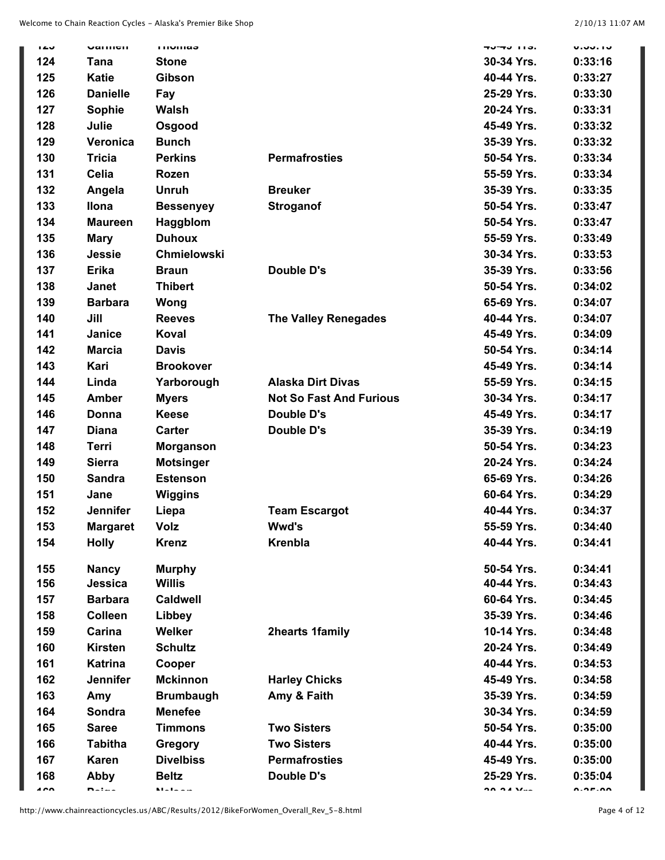| ن ڪ آ | Varmul                          | <b>THUTHAS</b>                      |                                | .טוו נדיט         | <b>U.JJ.IJ</b> |
|-------|---------------------------------|-------------------------------------|--------------------------------|-------------------|----------------|
| 124   | Tana                            | <b>Stone</b>                        |                                | 30-34 Yrs.        | 0:33:16        |
| 125   | <b>Katie</b>                    | Gibson                              |                                | 40-44 Yrs.        | 0:33:27        |
| 126   | <b>Danielle</b>                 | Fay                                 |                                | 25-29 Yrs.        | 0:33:30        |
| 127   | <b>Sophie</b>                   | Walsh                               |                                | 20-24 Yrs.        | 0:33:31        |
| 128   | Julie                           | Osgood                              |                                | 45-49 Yrs.        | 0:33:32        |
| 129   | Veronica                        | <b>Bunch</b>                        |                                | 35-39 Yrs.        | 0:33:32        |
| 130   | <b>Tricia</b>                   | <b>Perkins</b>                      | <b>Permafrosties</b>           | 50-54 Yrs.        | 0:33:34        |
| 131   | <b>Celia</b>                    | <b>Rozen</b>                        |                                | 55-59 Yrs.        | 0:33:34        |
| 132   | Angela                          | <b>Unruh</b>                        | <b>Breuker</b>                 | 35-39 Yrs.        | 0:33:35        |
| 133   | <b>Ilona</b>                    | <b>Bessenyey</b>                    | <b>Stroganof</b>               | 50-54 Yrs.        | 0:33:47        |
| 134   | <b>Maureen</b>                  | Haggblom                            |                                | 50-54 Yrs.        | 0:33:47        |
| 135   | <b>Mary</b>                     | <b>Duhoux</b>                       |                                | 55-59 Yrs.        | 0:33:49        |
| 136   | Jessie                          | Chmielowski                         |                                | 30-34 Yrs.        | 0:33:53        |
| 137   | <b>Erika</b>                    | <b>Braun</b>                        | Double D's                     | 35-39 Yrs.        | 0:33:56        |
| 138   | Janet                           | <b>Thibert</b>                      |                                | 50-54 Yrs.        | 0:34:02        |
| 139   | <b>Barbara</b>                  | Wong                                |                                | 65-69 Yrs.        | 0:34:07        |
| 140   | Jill                            | <b>Reeves</b>                       | <b>The Valley Renegades</b>    | 40-44 Yrs.        | 0:34:07        |
| 141   | Janice                          | Koval                               |                                | 45-49 Yrs.        | 0:34:09        |
| 142   | <b>Marcia</b>                   | <b>Davis</b>                        |                                | 50-54 Yrs.        | 0:34:14        |
| 143   | Kari                            | <b>Brookover</b>                    |                                | 45-49 Yrs.        | 0:34:14        |
| 144   | Linda                           | Yarborough                          | <b>Alaska Dirt Divas</b>       | 55-59 Yrs.        | 0:34:15        |
| 145   | <b>Amber</b>                    | <b>Myers</b>                        | <b>Not So Fast And Furious</b> | 30-34 Yrs.        | 0:34:17        |
| 146   | Donna                           | <b>Keese</b>                        | Double D's                     | 45-49 Yrs.        | 0:34:17        |
| 147   | <b>Diana</b>                    | <b>Carter</b>                       | Double D's                     | 35-39 Yrs.        | 0:34:19        |
| 148   | Terri                           | <b>Morganson</b>                    |                                | 50-54 Yrs.        | 0:34:23        |
| 149   | <b>Sierra</b>                   | <b>Motsinger</b>                    |                                | 20-24 Yrs.        | 0:34:24        |
| 150   | <b>Sandra</b>                   | <b>Estenson</b>                     |                                | 65-69 Yrs.        | 0:34:26        |
| 151   | Jane                            | <b>Wiggins</b>                      |                                | 60-64 Yrs.        | 0:34:29        |
| 152   | <b>Jennifer</b>                 | Liepa                               | <b>Team Escargot</b>           | 40-44 Yrs.        | 0:34:37        |
| 153   |                                 | Volz                                | <b>Wwd's</b>                   | 55-59 Yrs.        | 0:34:40        |
| 154   | <b>Margaret</b><br><b>Holly</b> | <b>Krenz</b>                        | <b>Krenbla</b>                 | 40-44 Yrs.        | 0:34:41        |
|       |                                 |                                     |                                |                   |                |
| 155   | <b>Nancy</b>                    | <b>Murphy</b>                       |                                | 50-54 Yrs.        | 0:34:41        |
| 156   | Jessica                         | <b>Willis</b>                       |                                | 40-44 Yrs.        | 0:34:43        |
| 157   | <b>Barbara</b>                  | <b>Caldwell</b>                     |                                | 60-64 Yrs.        | 0:34:45        |
| 158   | <b>Colleen</b>                  | Libbey                              |                                | 35-39 Yrs.        | 0:34:46        |
| 159   | Carina                          | Welker                              | <b>2hearts 1family</b>         | 10-14 Yrs.        | 0:34:48        |
| 160   | <b>Kirsten</b>                  | <b>Schultz</b>                      |                                | 20-24 Yrs.        | 0:34:49        |
| 161   | <b>Katrina</b>                  | Cooper                              |                                | 40-44 Yrs.        | 0:34:53        |
| 162   | <b>Jennifer</b>                 | <b>Mckinnon</b>                     | <b>Harley Chicks</b>           | 45-49 Yrs.        | 0:34:58        |
| 163   | Amy                             | <b>Brumbaugh</b>                    | Amy & Faith                    | 35-39 Yrs.        | 0:34:59        |
| 164   | Sondra                          | <b>Menefee</b>                      |                                | 30-34 Yrs.        | 0:34:59        |
| 165   | <b>Saree</b>                    | <b>Timmons</b>                      | <b>Two Sisters</b>             | 50-54 Yrs.        | 0:35:00        |
| 166   | <b>Tabitha</b>                  | <b>Gregory</b>                      | <b>Two Sisters</b>             | 40-44 Yrs.        | 0:35:00        |
| 167   | <b>Karen</b>                    | <b>Divelbiss</b>                    | <b>Permafrosties</b>           | 45-49 Yrs.        | 0:35:00        |
| 168   | Abby                            | <b>Beltz</b>                        | Double D's                     | 25-29 Yrs.        | 0:35:04        |
| הה ג  | $n = 1 - 1$                     | $\mathbf{M}$ and a set $\mathbf{M}$ |                                | $20.24 M_{\odot}$ | A.A. A. A.     |

http://www.chainreactioncycles.us/ABC/Results/2012/BikeForWomen\_Overall\_Rev\_5-8.html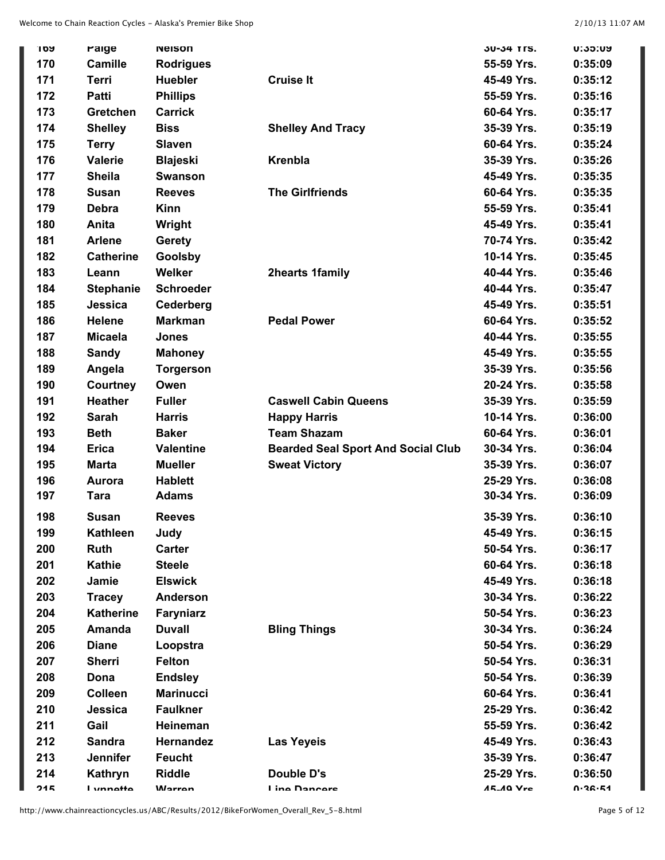| 109 | raige            | <b>Neison</b>    |                                           | 30-34 YFS.       | <b>U:35:UY</b> |
|-----|------------------|------------------|-------------------------------------------|------------------|----------------|
| 170 | <b>Camille</b>   | <b>Rodrigues</b> |                                           | 55-59 Yrs.       | 0:35:09        |
| 171 | Terri            | <b>Huebler</b>   | <b>Cruise It</b>                          | 45-49 Yrs.       | 0:35:12        |
| 172 | <b>Patti</b>     | <b>Phillips</b>  |                                           | 55-59 Yrs.       | 0:35:16        |
| 173 | Gretchen         | <b>Carrick</b>   |                                           | 60-64 Yrs.       | 0:35:17        |
| 174 | <b>Shelley</b>   | <b>Biss</b>      | <b>Shelley And Tracy</b>                  | 35-39 Yrs.       | 0:35:19        |
| 175 | <b>Terry</b>     | <b>Slaven</b>    |                                           | 60-64 Yrs.       | 0:35:24        |
| 176 | <b>Valerie</b>   | <b>Blajeski</b>  | <b>Krenbla</b>                            | 35-39 Yrs.       | 0:35:26        |
| 177 | <b>Sheila</b>    | <b>Swanson</b>   |                                           | 45-49 Yrs.       | 0:35:35        |
| 178 | <b>Susan</b>     | <b>Reeves</b>    | <b>The Girlfriends</b>                    | 60-64 Yrs.       | 0:35:35        |
| 179 | <b>Debra</b>     | <b>Kinn</b>      |                                           | 55-59 Yrs.       | 0:35:41        |
| 180 | Anita            | Wright           |                                           | 45-49 Yrs.       | 0:35:41        |
| 181 | <b>Arlene</b>    | <b>Gerety</b>    |                                           | 70-74 Yrs.       | 0:35:42        |
| 182 | <b>Catherine</b> | Goolsby          |                                           | 10-14 Yrs.       | 0:35:45        |
| 183 | Leann            | <b>Welker</b>    | <b>2hearts 1family</b>                    | 40-44 Yrs.       | 0:35:46        |
| 184 | <b>Stephanie</b> | <b>Schroeder</b> |                                           | 40-44 Yrs.       | 0:35:47        |
| 185 | Jessica          | Cederberg        |                                           | 45-49 Yrs.       | 0:35:51        |
| 186 | <b>Helene</b>    | <b>Markman</b>   | <b>Pedal Power</b>                        | 60-64 Yrs.       | 0:35:52        |
| 187 | <b>Micaela</b>   | <b>Jones</b>     |                                           | 40-44 Yrs.       | 0:35:55        |
| 188 | <b>Sandy</b>     | <b>Mahoney</b>   |                                           | 45-49 Yrs.       | 0:35:55        |
| 189 | Angela           | <b>Torgerson</b> |                                           | 35-39 Yrs.       | 0:35:56        |
| 190 | Courtney         | Owen             |                                           | 20-24 Yrs.       | 0:35:58        |
| 191 | <b>Heather</b>   | <b>Fuller</b>    | <b>Caswell Cabin Queens</b>               | 35-39 Yrs.       | 0:35:59        |
| 192 | <b>Sarah</b>     | <b>Harris</b>    | <b>Happy Harris</b>                       | 10-14 Yrs.       | 0:36:00        |
| 193 | <b>Beth</b>      | <b>Baker</b>     | <b>Team Shazam</b>                        | 60-64 Yrs.       | 0:36:01        |
| 194 | <b>Erica</b>     | <b>Valentine</b> | <b>Bearded Seal Sport And Social Club</b> | 30-34 Yrs.       | 0:36:04        |
| 195 | Marta            | <b>Mueller</b>   | <b>Sweat Victory</b>                      | 35-39 Yrs.       | 0:36:07        |
| 196 | Aurora           | <b>Hablett</b>   |                                           | 25-29 Yrs.       | 0:36:08        |
| 197 | Tara             | <b>Adams</b>     |                                           | 30-34 Yrs.       | 0:36:09        |
| 198 | <b>Susan</b>     | <b>Reeves</b>    |                                           | 35-39 Yrs.       | 0:36:10        |
| 199 | <b>Kathleen</b>  | Judy             |                                           | 45-49 Yrs.       | 0:36:15        |
| 200 | <b>Ruth</b>      | <b>Carter</b>    |                                           | 50-54 Yrs.       | 0:36:17        |
| 201 | <b>Kathie</b>    | <b>Steele</b>    |                                           | 60-64 Yrs.       | 0:36:18        |
| 202 | Jamie            | <b>Elswick</b>   |                                           | 45-49 Yrs.       | 0:36:18        |
| 203 | <b>Tracey</b>    | <b>Anderson</b>  |                                           | 30-34 Yrs.       | 0:36:22        |
| 204 | <b>Katherine</b> | Faryniarz        |                                           | 50-54 Yrs.       | 0:36:23        |
| 205 | Amanda           | <b>Duvall</b>    | <b>Bling Things</b>                       | 30-34 Yrs.       | 0:36:24        |
| 206 | <b>Diane</b>     | Loopstra         |                                           | 50-54 Yrs.       | 0:36:29        |
| 207 | <b>Sherri</b>    | <b>Felton</b>    |                                           | 50-54 Yrs.       | 0:36:31        |
| 208 | Dona             | <b>Endsley</b>   |                                           | 50-54 Yrs.       | 0:36:39        |
| 209 | <b>Colleen</b>   | <b>Marinucci</b> |                                           | 60-64 Yrs.       | 0:36:41        |
| 210 | Jessica          | <b>Faulkner</b>  |                                           | 25-29 Yrs.       | 0:36:42        |
| 211 | Gail             | Heineman         |                                           | 55-59 Yrs.       | 0:36:42        |
| 212 | <b>Sandra</b>    | Hernandez        | <b>Las Yeyeis</b>                         | 45-49 Yrs.       | 0:36:43        |
| 213 | Jennifer         | <b>Feucht</b>    |                                           | 35-39 Yrs.       | 0:36:47        |
| 214 | Kathryn          | <b>Riddle</b>    | Double D's                                | 25-29 Yrs.       | 0:36:50        |
| 24F | l vnnatta        | <b>Warron</b>    | <b>I</b> ing Dancare                      | <b>15.10 Vrc</b> | $0.36 - 51$    |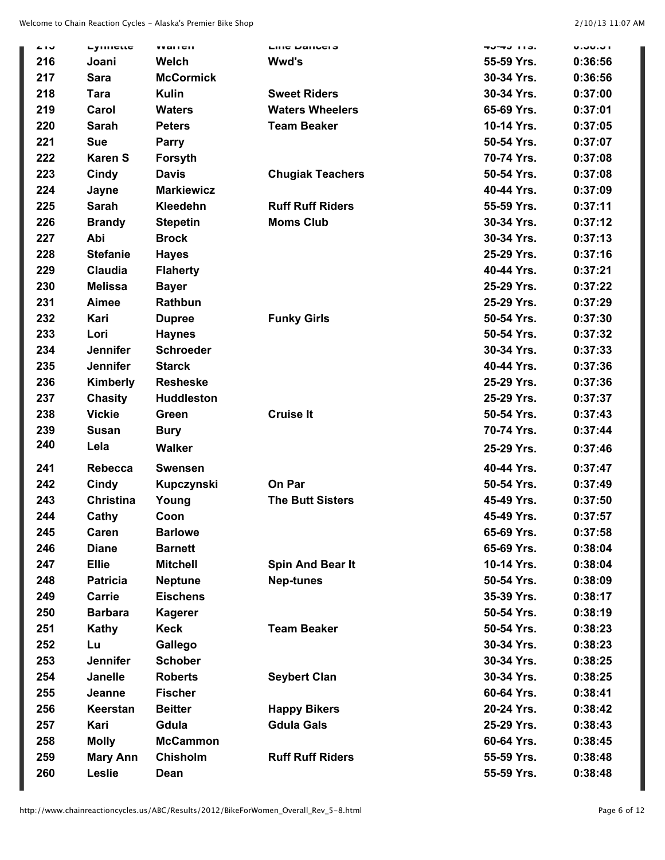| 4 I J | Lynneut          | <b>VVALICII</b>   | <b>LING DANGES</b>      | . טוו ט <del>ו</del> יטד | <b>U.JU.JI</b> |
|-------|------------------|-------------------|-------------------------|--------------------------|----------------|
| 216   | Joani            | Welch             | <b>Wwd's</b>            | 55-59 Yrs.               | 0:36:56        |
| 217   | <b>Sara</b>      | <b>McCormick</b>  |                         | 30-34 Yrs.               | 0:36:56        |
| 218   | <b>Tara</b>      | <b>Kulin</b>      | <b>Sweet Riders</b>     | 30-34 Yrs.               | 0:37:00        |
| 219   | Carol            | <b>Waters</b>     | <b>Waters Wheelers</b>  | 65-69 Yrs.               | 0:37:01        |
| 220   | <b>Sarah</b>     | <b>Peters</b>     | <b>Team Beaker</b>      | 10-14 Yrs.               | 0:37:05        |
| 221   | <b>Sue</b>       | <b>Parry</b>      |                         | 50-54 Yrs.               | 0:37:07        |
| 222   | <b>Karen S</b>   | Forsyth           |                         | 70-74 Yrs.               | 0:37:08        |
| 223   | Cindy            | <b>Davis</b>      | <b>Chugiak Teachers</b> | 50-54 Yrs.               | 0:37:08        |
| 224   | Jayne            | <b>Markiewicz</b> |                         | 40-44 Yrs.               | 0:37:09        |
| 225   | <b>Sarah</b>     | Kleedehn          | <b>Ruff Ruff Riders</b> | 55-59 Yrs.               | 0:37:11        |
| 226   | <b>Brandy</b>    | <b>Stepetin</b>   | <b>Moms Club</b>        | 30-34 Yrs.               | 0:37:12        |
| 227   | Abi              | <b>Brock</b>      |                         | 30-34 Yrs.               | 0:37:13        |
| 228   | <b>Stefanie</b>  | <b>Hayes</b>      |                         | 25-29 Yrs.               | 0:37:16        |
| 229   | <b>Claudia</b>   | <b>Flaherty</b>   |                         | 40-44 Yrs.               | 0:37:21        |
| 230   | <b>Melissa</b>   | <b>Bayer</b>      |                         | 25-29 Yrs.               | 0:37:22        |
| 231   | Aimee            | Rathbun           |                         | 25-29 Yrs.               | 0:37:29        |
| 232   | Kari             | <b>Dupree</b>     | <b>Funky Girls</b>      | 50-54 Yrs.               | 0:37:30        |
| 233   | Lori             | <b>Haynes</b>     |                         | 50-54 Yrs.               | 0:37:32        |
| 234   | <b>Jennifer</b>  | <b>Schroeder</b>  |                         | 30-34 Yrs.               | 0:37:33        |
| 235   | <b>Jennifer</b>  | <b>Starck</b>     |                         | 40-44 Yrs.               | 0:37:36        |
| 236   | <b>Kimberly</b>  | <b>Resheske</b>   |                         | 25-29 Yrs.               | 0:37:36        |
| 237   | <b>Chasity</b>   | <b>Huddleston</b> |                         | 25-29 Yrs.               | 0:37:37        |
| 238   | <b>Vickie</b>    | Green             | <b>Cruise It</b>        | 50-54 Yrs.               | 0:37:43        |
| 239   | <b>Susan</b>     | <b>Bury</b>       |                         | 70-74 Yrs.               | 0:37:44        |
| 240   | Lela             | <b>Walker</b>     |                         | 25-29 Yrs.               | 0:37:46        |
| 241   | <b>Rebecca</b>   | <b>Swensen</b>    |                         | 40-44 Yrs.               | 0:37:47        |
| 242   | Cindy            | Kupczynski        | On Par                  | 50-54 Yrs.               | 0:37:49        |
| 243   | <b>Christina</b> | Young             | <b>The Butt Sisters</b> | 45-49 Yrs.               | 0:37:50        |
| 244   | Cathy            | Coon              |                         | 45-49 Yrs.               | 0:37:57        |
| 245   | Caren            | <b>Barlowe</b>    |                         | 65-69 Yrs.               | 0:37:58        |
| 246   | <b>Diane</b>     | <b>Barnett</b>    |                         | 65-69 Yrs.               | 0:38:04        |
| 247   | <b>Ellie</b>     | <b>Mitchell</b>   | Spin And Bear It        | 10-14 Yrs.               | 0:38:04        |
| 248   | <b>Patricia</b>  | <b>Neptune</b>    | <b>Nep-tunes</b>        | 50-54 Yrs.               | 0:38:09        |
| 249   | Carrie           | <b>Eischens</b>   |                         | 35-39 Yrs.               | 0:38:17        |
| 250   | <b>Barbara</b>   | <b>Kagerer</b>    |                         | 50-54 Yrs.               | 0:38:19        |
| 251   | <b>Kathy</b>     | Keck              | <b>Team Beaker</b>      | 50-54 Yrs.               | 0:38:23        |
| 252   | Lu               | Gallego           |                         | 30-34 Yrs.               | 0:38:23        |
| 253   | <b>Jennifer</b>  | <b>Schober</b>    |                         | 30-34 Yrs.               | 0:38:25        |
| 254   | <b>Janelle</b>   | <b>Roberts</b>    | <b>Seybert Clan</b>     | 30-34 Yrs.               | 0:38:25        |
| 255   | Jeanne           | <b>Fischer</b>    |                         | 60-64 Yrs.               | 0:38:41        |
| 256   | Keerstan         | <b>Beitter</b>    | <b>Happy Bikers</b>     | 20-24 Yrs.               | 0:38:42        |
| 257   | Kari             | Gdula             | <b>Gdula Gals</b>       | 25-29 Yrs.               | 0:38:43        |
| 258   | <b>Molly</b>     | <b>McCammon</b>   |                         | 60-64 Yrs.               | 0:38:45        |
| 259   | <b>Mary Ann</b>  | <b>Chisholm</b>   | <b>Ruff Ruff Riders</b> | 55-59 Yrs.               | 0:38:48        |
| 260   | Leslie           | Dean              |                         | 55-59 Yrs.               | 0:38:48        |
|       |                  |                   |                         |                          |                |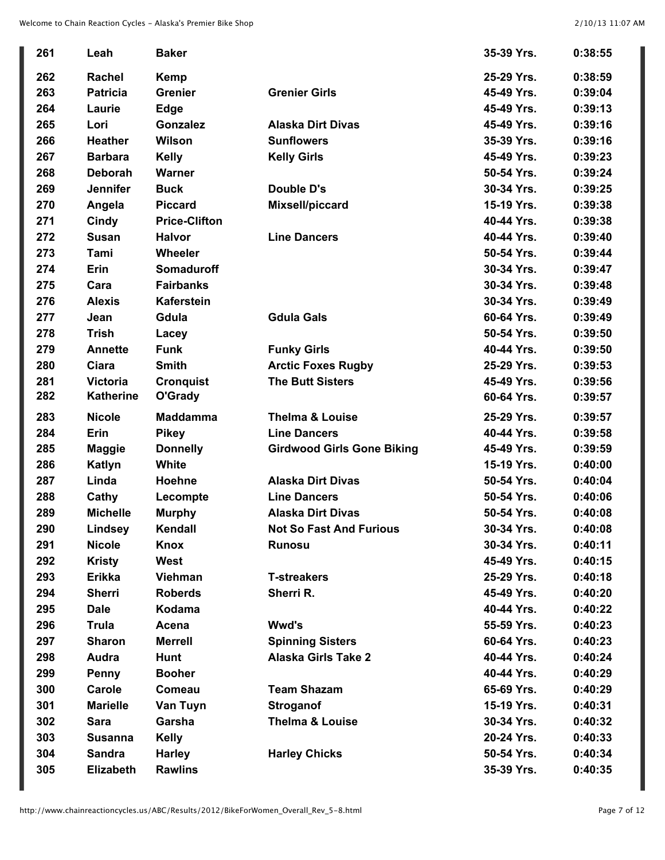| 261 | Leah             | <b>Baker</b>         |                                   | 35-39 Yrs. | 0:38:55 |
|-----|------------------|----------------------|-----------------------------------|------------|---------|
| 262 | Rachel           | <b>Kemp</b>          |                                   | 25-29 Yrs. | 0:38:59 |
| 263 | <b>Patricia</b>  | <b>Grenier</b>       | <b>Grenier Girls</b>              | 45-49 Yrs. | 0:39:04 |
| 264 | Laurie           | <b>Edge</b>          |                                   | 45-49 Yrs. | 0:39:13 |
| 265 | Lori             | Gonzalez             | <b>Alaska Dirt Divas</b>          | 45-49 Yrs. | 0:39:16 |
| 266 | <b>Heather</b>   | Wilson               | <b>Sunflowers</b>                 | 35-39 Yrs. | 0:39:16 |
| 267 | <b>Barbara</b>   | <b>Kelly</b>         | <b>Kelly Girls</b>                | 45-49 Yrs. | 0:39:23 |
| 268 | <b>Deborah</b>   | <b>Warner</b>        |                                   | 50-54 Yrs. | 0:39:24 |
| 269 | <b>Jennifer</b>  | <b>Buck</b>          | Double D's                        | 30-34 Yrs. | 0:39:25 |
| 270 | Angela           | <b>Piccard</b>       | Mixsell/piccard                   | 15-19 Yrs. | 0:39:38 |
| 271 | Cindy            | <b>Price-Clifton</b> |                                   | 40-44 Yrs. | 0:39:38 |
| 272 | <b>Susan</b>     | <b>Halvor</b>        | <b>Line Dancers</b>               | 40-44 Yrs. | 0:39:40 |
| 273 | Tami             | <b>Wheeler</b>       |                                   | 50-54 Yrs. | 0:39:44 |
| 274 | Erin             | <b>Somaduroff</b>    |                                   | 30-34 Yrs. | 0:39:47 |
| 275 | Cara             | <b>Fairbanks</b>     |                                   | 30-34 Yrs. | 0:39:48 |
| 276 | <b>Alexis</b>    | <b>Kaferstein</b>    |                                   | 30-34 Yrs. | 0:39:49 |
| 277 | Jean             | Gdula                | <b>Gdula Gals</b>                 | 60-64 Yrs. | 0:39:49 |
| 278 | <b>Trish</b>     | Lacey                |                                   | 50-54 Yrs. | 0:39:50 |
| 279 | <b>Annette</b>   | <b>Funk</b>          | <b>Funky Girls</b>                | 40-44 Yrs. | 0:39:50 |
| 280 | Ciara            | <b>Smith</b>         | <b>Arctic Foxes Rugby</b>         | 25-29 Yrs. | 0:39:53 |
| 281 | <b>Victoria</b>  | <b>Cronquist</b>     | <b>The Butt Sisters</b>           | 45-49 Yrs. | 0:39:56 |
| 282 | <b>Katherine</b> | O'Grady              |                                   | 60-64 Yrs. | 0:39:57 |
| 283 | <b>Nicole</b>    | <b>Maddamma</b>      | <b>Thelma &amp; Louise</b>        | 25-29 Yrs. | 0:39:57 |
| 284 | Erin             | <b>Pikey</b>         | <b>Line Dancers</b>               | 40-44 Yrs. | 0:39:58 |
| 285 | <b>Maggie</b>    | <b>Donnelly</b>      | <b>Girdwood Girls Gone Biking</b> | 45-49 Yrs. | 0:39:59 |
| 286 | Katlyn           | White                |                                   | 15-19 Yrs. | 0:40:00 |
| 287 | Linda            | Hoehne               | <b>Alaska Dirt Divas</b>          | 50-54 Yrs. | 0:40:04 |
| 288 | Cathy            | Lecompte             | <b>Line Dancers</b>               | 50-54 Yrs. | 0:40:06 |
| 289 | <b>Michelle</b>  | <b>Murphy</b>        | <b>Alaska Dirt Divas</b>          | 50-54 Yrs. | 0:40:08 |
| 290 | Lindsey          | Kendall              | <b>Not So Fast And Furious</b>    | 30-34 Yrs. | 0:40:08 |
| 291 |                  |                      |                                   |            |         |
| 292 | <b>Nicole</b>    | Knox                 | <b>Runosu</b>                     | 30-34 Yrs. | 0:40:11 |
|     | <b>Kristy</b>    | West                 |                                   | 45-49 Yrs. | 0:40:15 |
| 293 | <b>Erikka</b>    | Viehman              | <b>T-streakers</b>                | 25-29 Yrs. | 0:40:18 |
| 294 | <b>Sherri</b>    | <b>Roberds</b>       | Sherri R.                         | 45-49 Yrs. | 0:40:20 |
| 295 | <b>Dale</b>      | Kodama               |                                   | 40-44 Yrs. | 0:40:22 |
| 296 | <b>Trula</b>     | Acena                | Wwd's                             | 55-59 Yrs. | 0:40:23 |
| 297 | <b>Sharon</b>    | <b>Merrell</b>       | <b>Spinning Sisters</b>           | 60-64 Yrs. | 0:40:23 |
| 298 | Audra            | Hunt                 | <b>Alaska Girls Take 2</b>        | 40-44 Yrs. | 0:40:24 |
| 299 | Penny            | <b>Booher</b>        |                                   | 40-44 Yrs. | 0:40:29 |
| 300 | Carole           | Comeau               | <b>Team Shazam</b>                | 65-69 Yrs. | 0:40:29 |
| 301 | <b>Marielle</b>  | Van Tuyn             | <b>Stroganof</b>                  | 15-19 Yrs. | 0:40:31 |
| 302 | <b>Sara</b>      | Garsha               | <b>Thelma &amp; Louise</b>        | 30-34 Yrs. | 0:40:32 |
| 303 | <b>Susanna</b>   | <b>Kelly</b>         |                                   | 20-24 Yrs. | 0:40:33 |
| 304 | <b>Sandra</b>    | <b>Harley</b>        | <b>Harley Chicks</b>              | 50-54 Yrs. | 0:40:34 |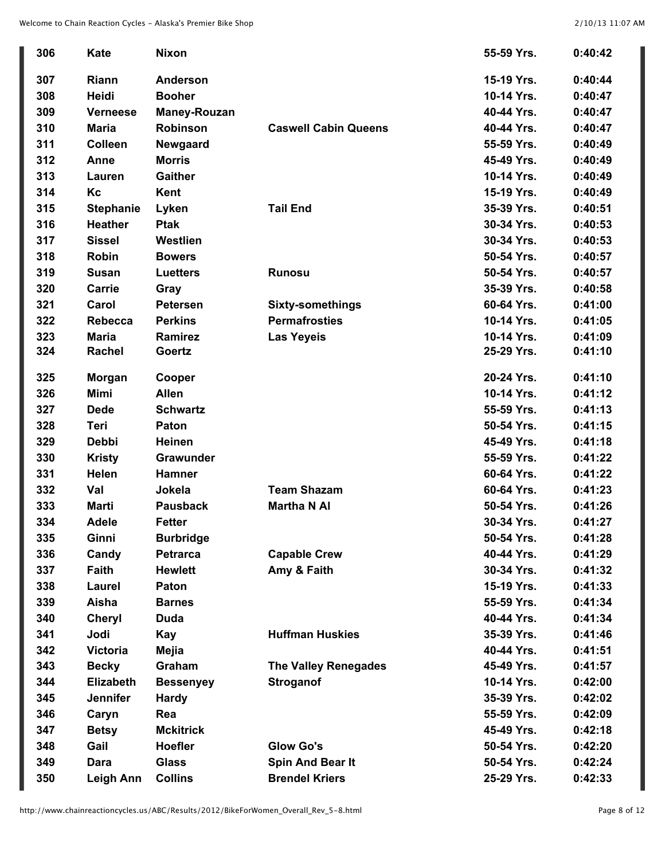| 306 | <b>Kate</b>      | <b>Nixon</b>        |                             | 55-59 Yrs. | 0:40:42 |
|-----|------------------|---------------------|-----------------------------|------------|---------|
| 307 | Riann            | <b>Anderson</b>     |                             | 15-19 Yrs. | 0:40:44 |
| 308 | Heidi            | <b>Booher</b>       |                             | 10-14 Yrs. | 0:40:47 |
| 309 | <b>Verneese</b>  | <b>Maney-Rouzan</b> |                             | 40-44 Yrs. | 0:40:47 |
| 310 | <b>Maria</b>     | <b>Robinson</b>     | <b>Caswell Cabin Queens</b> | 40-44 Yrs. | 0:40:47 |
| 311 | Colleen          | Newgaard            |                             | 55-59 Yrs. | 0:40:49 |
| 312 | Anne             | <b>Morris</b>       |                             | 45-49 Yrs. | 0:40:49 |
| 313 | Lauren           | <b>Gaither</b>      |                             | 10-14 Yrs. | 0:40:49 |
| 314 | Кc               | Kent                |                             | 15-19 Yrs. | 0:40:49 |
| 315 | <b>Stephanie</b> | Lyken               | <b>Tail End</b>             | 35-39 Yrs. | 0:40:51 |
| 316 | <b>Heather</b>   | <b>Ptak</b>         |                             | 30-34 Yrs. | 0:40:53 |
| 317 | <b>Sissel</b>    | Westlien            |                             | 30-34 Yrs. | 0:40:53 |
| 318 | <b>Robin</b>     | <b>Bowers</b>       |                             | 50-54 Yrs. | 0:40:57 |
| 319 | <b>Susan</b>     | <b>Luetters</b>     | <b>Runosu</b>               | 50-54 Yrs. | 0:40:57 |
| 320 | Carrie           | Gray                |                             | 35-39 Yrs. | 0:40:58 |
| 321 | Carol            | <b>Petersen</b>     | <b>Sixty-somethings</b>     | 60-64 Yrs. | 0:41:00 |
| 322 | Rebecca          | <b>Perkins</b>      | <b>Permafrosties</b>        | 10-14 Yrs. | 0:41:05 |
| 323 | <b>Maria</b>     | Ramirez             | <b>Las Yeyeis</b>           | 10-14 Yrs. | 0:41:09 |
| 324 | Rachel           | Goertz              |                             | 25-29 Yrs. | 0:41:10 |
| 325 | <b>Morgan</b>    | Cooper              |                             | 20-24 Yrs. | 0:41:10 |
| 326 | <b>Mimi</b>      | <b>Allen</b>        |                             | 10-14 Yrs. | 0:41:12 |
| 327 | <b>Dede</b>      | <b>Schwartz</b>     |                             | 55-59 Yrs. | 0:41:13 |
| 328 | Teri             | Paton               |                             | 50-54 Yrs. | 0:41:15 |
| 329 | <b>Debbi</b>     | <b>Heinen</b>       |                             | 45-49 Yrs. | 0:41:18 |
| 330 | <b>Kristy</b>    | Grawunder           |                             | 55-59 Yrs. | 0:41:22 |
| 331 | Helen            | <b>Hamner</b>       |                             | 60-64 Yrs. | 0:41:22 |
| 332 | Val              | Jokela              | <b>Team Shazam</b>          | 60-64 Yrs. | 0:41:23 |
| 333 | <b>Marti</b>     | <b>Pausback</b>     | <b>Martha N AI</b>          | 50-54 Yrs. | 0:41:26 |
| 334 | <b>Adele</b>     | <b>Fetter</b>       |                             | 30-34 Yrs. | 0:41:27 |
| 335 | Ginni            | <b>Burbridge</b>    |                             | 50-54 Yrs. | 0:41:28 |
| 336 | Candy            | <b>Petrarca</b>     | <b>Capable Crew</b>         | 40-44 Yrs. | 0:41:29 |
| 337 | Faith            | <b>Hewlett</b>      | Amy & Faith                 | 30-34 Yrs. | 0:41:32 |
| 338 | Laurel           | Paton               |                             | 15-19 Yrs. | 0:41:33 |
| 339 | Aisha            | <b>Barnes</b>       |                             | 55-59 Yrs. | 0:41:34 |
| 340 | <b>Cheryl</b>    | Duda                |                             | 40-44 Yrs. | 0:41:34 |
| 341 | Jodi             | Kay                 | <b>Huffman Huskies</b>      | 35-39 Yrs. | 0:41:46 |
| 342 | <b>Victoria</b>  | Mejia               |                             | 40-44 Yrs. | 0:41:51 |
| 343 | <b>Becky</b>     | Graham              | <b>The Valley Renegades</b> | 45-49 Yrs. | 0:41:57 |
| 344 | <b>Elizabeth</b> | <b>Bessenyey</b>    | <b>Stroganof</b>            | 10-14 Yrs. | 0:42:00 |
| 345 | <b>Jennifer</b>  | <b>Hardy</b>        |                             | 35-39 Yrs. | 0:42:02 |
| 346 | Caryn            | Rea                 |                             | 55-59 Yrs. | 0:42:09 |
| 347 | <b>Betsy</b>     | <b>Mckitrick</b>    |                             | 45-49 Yrs. | 0:42:18 |
| 348 | Gail             | <b>Hoefler</b>      | <b>Glow Go's</b>            | 50-54 Yrs. | 0:42:20 |
| 349 | Dara             | <b>Glass</b>        | <b>Spin And Bear It</b>     | 50-54 Yrs. | 0:42:24 |
| 350 | Leigh Ann        | <b>Collins</b>      | <b>Brendel Kriers</b>       | 25-29 Yrs. | 0:42:33 |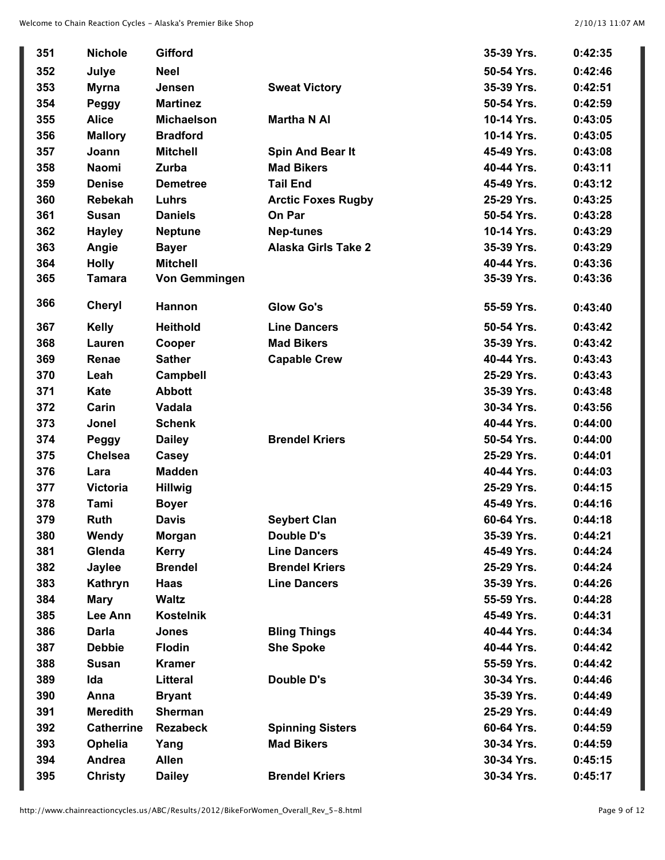| 351 | <b>Nichole</b>    | <b>Gifford</b>       |                            | 35-39 Yrs. | 0:42:35 |
|-----|-------------------|----------------------|----------------------------|------------|---------|
| 352 | Julye             | <b>Neel</b>          |                            | 50-54 Yrs. | 0:42:46 |
| 353 | <b>Myrna</b>      | Jensen               | <b>Sweat Victory</b>       | 35-39 Yrs. | 0:42:51 |
| 354 | Peggy             | <b>Martinez</b>      |                            | 50-54 Yrs. | 0:42:59 |
| 355 | <b>Alice</b>      | <b>Michaelson</b>    | <b>Martha N AI</b>         | 10-14 Yrs. | 0:43:05 |
| 356 | <b>Mallory</b>    | <b>Bradford</b>      |                            | 10-14 Yrs. | 0:43:05 |
| 357 | Joann             | <b>Mitchell</b>      | Spin And Bear It           | 45-49 Yrs. | 0:43:08 |
| 358 | <b>Naomi</b>      | Zurba                | <b>Mad Bikers</b>          | 40-44 Yrs. | 0:43:11 |
| 359 | <b>Denise</b>     | <b>Demetree</b>      | <b>Tail End</b>            | 45-49 Yrs. | 0:43:12 |
| 360 | <b>Rebekah</b>    | Luhrs                | <b>Arctic Foxes Rugby</b>  | 25-29 Yrs. | 0:43:25 |
| 361 | <b>Susan</b>      | <b>Daniels</b>       | On Par                     | 50-54 Yrs. | 0:43:28 |
| 362 | <b>Hayley</b>     | <b>Neptune</b>       | <b>Nep-tunes</b>           | 10-14 Yrs. | 0:43:29 |
| 363 | Angie             | <b>Bayer</b>         | <b>Alaska Girls Take 2</b> | 35-39 Yrs. | 0:43:29 |
| 364 | <b>Holly</b>      | <b>Mitchell</b>      |                            | 40-44 Yrs. | 0:43:36 |
| 365 | <b>Tamara</b>     | <b>Von Gemmingen</b> |                            | 35-39 Yrs. | 0:43:36 |
|     |                   |                      |                            |            |         |
| 366 | <b>Cheryl</b>     | <b>Hannon</b>        | <b>Glow Go's</b>           | 55-59 Yrs. | 0:43:40 |
| 367 | <b>Kelly</b>      | <b>Heithold</b>      | <b>Line Dancers</b>        | 50-54 Yrs. | 0:43:42 |
| 368 | Lauren            | Cooper               | <b>Mad Bikers</b>          | 35-39 Yrs. | 0:43:42 |
| 369 | Renae             | <b>Sather</b>        | <b>Capable Crew</b>        | 40-44 Yrs. | 0:43:43 |
| 370 | Leah              | <b>Campbell</b>      |                            | 25-29 Yrs. | 0:43:43 |
| 371 | Kate              | <b>Abbott</b>        |                            | 35-39 Yrs. | 0:43:48 |
| 372 | Carin             | Vadala               |                            | 30-34 Yrs. | 0:43:56 |
| 373 | Jonel             | <b>Schenk</b>        |                            | 40-44 Yrs. | 0:44:00 |
| 374 | Peggy             | <b>Dailey</b>        | <b>Brendel Kriers</b>      | 50-54 Yrs. | 0:44:00 |
| 375 | <b>Chelsea</b>    | Casey                |                            | 25-29 Yrs. | 0:44:01 |
| 376 | Lara              | <b>Madden</b>        |                            | 40-44 Yrs. | 0:44:03 |
| 377 | <b>Victoria</b>   | <b>Hillwig</b>       |                            | 25-29 Yrs. | 0:44:15 |
| 378 | Tami              | <b>Boyer</b>         |                            | 45-49 Yrs. | 0:44:16 |
| 379 | <b>Ruth</b>       | <b>Davis</b>         | <b>Seybert Clan</b>        | 60-64 Yrs. | 0:44:18 |
| 380 | Wendy             | Morgan               | <b>Double D's</b>          | 35-39 Yrs. | 0:44:21 |
| 381 | Glenda            | <b>Kerry</b>         | <b>Line Dancers</b>        | 45-49 Yrs. | 0:44:24 |
| 382 | <b>Jaylee</b>     | <b>Brendel</b>       | <b>Brendel Kriers</b>      | 25-29 Yrs. | 0:44:24 |
| 383 | Kathryn           | Haas                 | <b>Line Dancers</b>        | 35-39 Yrs. | 0:44:26 |
| 384 | <b>Mary</b>       | <b>Waltz</b>         |                            | 55-59 Yrs. | 0:44:28 |
| 385 | Lee Ann           | <b>Kostelnik</b>     |                            | 45-49 Yrs. | 0:44:31 |
| 386 | <b>Darla</b>      | <b>Jones</b>         | <b>Bling Things</b>        | 40-44 Yrs. | 0:44:34 |
| 387 | <b>Debbie</b>     | <b>Flodin</b>        | <b>She Spoke</b>           | 40-44 Yrs. | 0:44:42 |
| 388 | <b>Susan</b>      | <b>Kramer</b>        |                            | 55-59 Yrs. | 0:44:42 |
| 389 | Ida               | <b>Litteral</b>      | Double D's                 | 30-34 Yrs. | 0:44:46 |
| 390 | Anna              | <b>Bryant</b>        |                            | 35-39 Yrs. | 0:44:49 |
| 391 | <b>Meredith</b>   | <b>Sherman</b>       |                            | 25-29 Yrs. | 0:44:49 |
| 392 | <b>Catherrine</b> | <b>Rezabeck</b>      | <b>Spinning Sisters</b>    | 60-64 Yrs. | 0:44:59 |
| 393 | Ophelia           | Yang                 | <b>Mad Bikers</b>          | 30-34 Yrs. | 0:44:59 |
| 394 | Andrea            | <b>Allen</b>         |                            | 30-34 Yrs. | 0:45:15 |
| 395 | <b>Christy</b>    | <b>Dailey</b>        | <b>Brendel Kriers</b>      | 30-34 Yrs. | 0:45:17 |
|     |                   |                      |                            |            |         |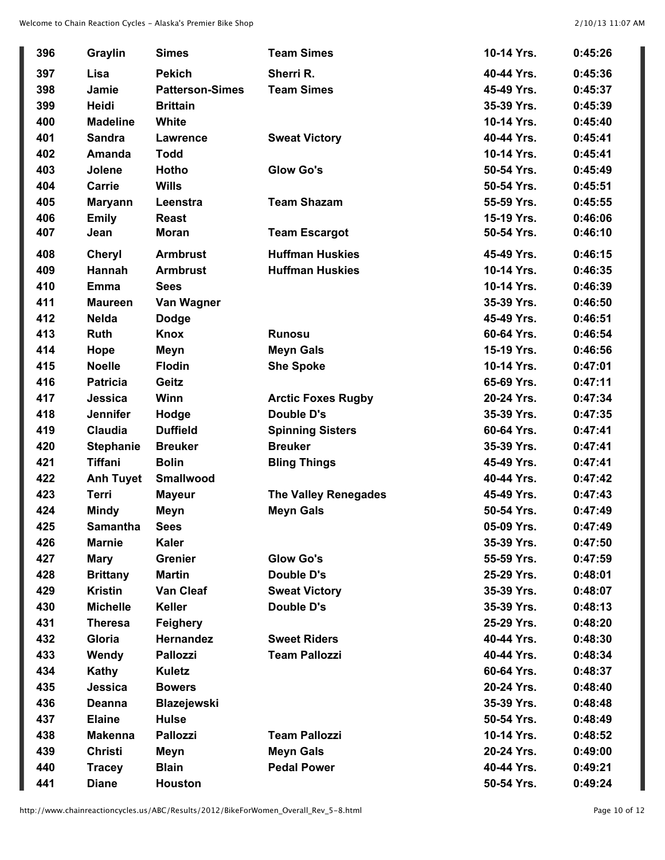| 396 | Graylin          | <b>Simes</b>           | <b>Team Simes</b>           | 10-14 Yrs. | 0:45:26 |
|-----|------------------|------------------------|-----------------------------|------------|---------|
| 397 | Lisa             | <b>Pekich</b>          | Sherri R.                   | 40-44 Yrs. | 0:45:36 |
| 398 | Jamie            | <b>Patterson-Simes</b> | <b>Team Simes</b>           | 45-49 Yrs. | 0:45:37 |
| 399 | Heidi            | <b>Brittain</b>        |                             | 35-39 Yrs. | 0:45:39 |
| 400 | <b>Madeline</b>  | White                  |                             | 10-14 Yrs. | 0:45:40 |
| 401 | <b>Sandra</b>    | <b>Lawrence</b>        | <b>Sweat Victory</b>        | 40-44 Yrs. | 0:45:41 |
| 402 | Amanda           | <b>Todd</b>            |                             | 10-14 Yrs. | 0:45:41 |
| 403 | Jolene           | Hotho                  | <b>Glow Go's</b>            | 50-54 Yrs. | 0:45:49 |
| 404 | Carrie           | <b>Wills</b>           |                             | 50-54 Yrs. | 0:45:51 |
| 405 | <b>Maryann</b>   | Leenstra               | <b>Team Shazam</b>          | 55-59 Yrs. | 0:45:55 |
| 406 | <b>Emily</b>     | <b>Reast</b>           |                             | 15-19 Yrs. | 0:46:06 |
| 407 | Jean             | <b>Moran</b>           | <b>Team Escargot</b>        | 50-54 Yrs. | 0:46:10 |
| 408 | <b>Cheryl</b>    | <b>Armbrust</b>        | <b>Huffman Huskies</b>      | 45-49 Yrs. | 0:46:15 |
| 409 | Hannah           | <b>Armbrust</b>        | <b>Huffman Huskies</b>      | 10-14 Yrs. | 0:46:35 |
| 410 | <b>Emma</b>      | <b>Sees</b>            |                             | 10-14 Yrs. | 0:46:39 |
| 411 | <b>Maureen</b>   | Van Wagner             |                             | 35-39 Yrs. | 0:46:50 |
| 412 | <b>Nelda</b>     | <b>Dodge</b>           |                             | 45-49 Yrs. | 0:46:51 |
| 413 | <b>Ruth</b>      | Knox                   | <b>Runosu</b>               | 60-64 Yrs. | 0:46:54 |
| 414 | Hope             | Meyn                   | <b>Meyn Gals</b>            | 15-19 Yrs. | 0:46:56 |
| 415 | <b>Noelle</b>    | <b>Flodin</b>          | <b>She Spoke</b>            | 10-14 Yrs. | 0:47:01 |
| 416 | <b>Patricia</b>  | Geitz                  |                             | 65-69 Yrs. | 0:47:11 |
| 417 | Jessica          | Winn                   | <b>Arctic Foxes Rugby</b>   | 20-24 Yrs. | 0:47:34 |
| 418 | <b>Jennifer</b>  | Hodge                  | <b>Double D's</b>           | 35-39 Yrs. | 0:47:35 |
| 419 | <b>Claudia</b>   | <b>Duffield</b>        | <b>Spinning Sisters</b>     | 60-64 Yrs. | 0:47:41 |
| 420 | <b>Stephanie</b> | <b>Breuker</b>         | <b>Breuker</b>              | 35-39 Yrs. | 0:47:41 |
| 421 | <b>Tiffani</b>   | <b>Bolin</b>           | <b>Bling Things</b>         | 45-49 Yrs. | 0:47:41 |
| 422 | <b>Anh Tuyet</b> | <b>Smallwood</b>       |                             | 40-44 Yrs. | 0:47:42 |
| 423 | <b>Terri</b>     | <b>Mayeur</b>          | <b>The Valley Renegades</b> | 45-49 Yrs. | 0:47:43 |
| 424 | <b>Mindy</b>     | Meyn                   | <b>Meyn Gals</b>            | 50-54 Yrs. | 0:47:49 |
| 425 | <b>Samantha</b>  | <b>Sees</b>            |                             | 05-09 Yrs. | 0:47:49 |
| 426 | <b>Marnie</b>    | <b>Kaler</b>           |                             | 35-39 Yrs. | 0:47:50 |
| 427 | <b>Mary</b>      | <b>Grenier</b>         | <b>Glow Go's</b>            | 55-59 Yrs. | 0:47:59 |
| 428 | <b>Brittany</b>  | <b>Martin</b>          | Double D's                  | 25-29 Yrs. | 0:48:01 |
| 429 | <b>Kristin</b>   | <b>Van Cleaf</b>       | <b>Sweat Victory</b>        | 35-39 Yrs. | 0:48:07 |
| 430 | <b>Michelle</b>  | Keller                 | Double D's                  | 35-39 Yrs. | 0:48:13 |
| 431 | <b>Theresa</b>   | Feighery               |                             | 25-29 Yrs. | 0:48:20 |
| 432 | Gloria           | <b>Hernandez</b>       | <b>Sweet Riders</b>         | 40-44 Yrs. | 0:48:30 |
| 433 | Wendy            | <b>Pallozzi</b>        | <b>Team Pallozzi</b>        | 40-44 Yrs. | 0:48:34 |
| 434 | Kathy            | <b>Kuletz</b>          |                             | 60-64 Yrs. | 0:48:37 |
| 435 | Jessica          | <b>Bowers</b>          |                             | 20-24 Yrs. | 0:48:40 |
| 436 | <b>Deanna</b>    | Blazejewski            |                             | 35-39 Yrs. | 0:48:48 |
| 437 | <b>Elaine</b>    | <b>Hulse</b>           |                             | 50-54 Yrs. | 0:48:49 |
| 438 | <b>Makenna</b>   | <b>Pallozzi</b>        | <b>Team Pallozzi</b>        | 10-14 Yrs. | 0:48:52 |
| 439 | <b>Christi</b>   | Meyn                   | <b>Meyn Gals</b>            | 20-24 Yrs. | 0:49:00 |
| 440 | <b>Tracey</b>    | <b>Blain</b>           | <b>Pedal Power</b>          | 40-44 Yrs. | 0:49:21 |
| 441 | <b>Diane</b>     | <b>Houston</b>         |                             | 50-54 Yrs. | 0:49:24 |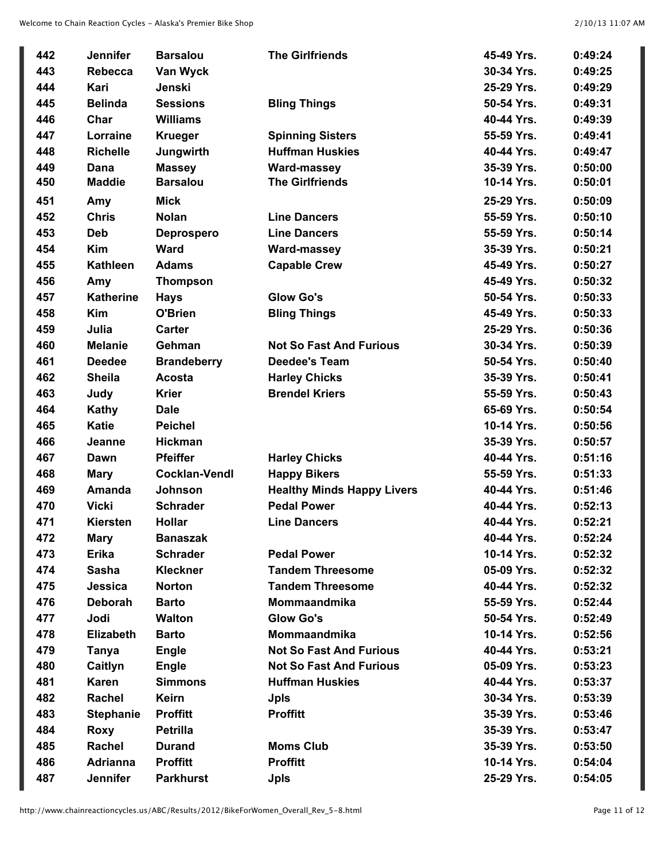| 442 | <b>Jennifer</b>  | <b>Barsalou</b>      | <b>The Girlfriends</b>            | 45-49 Yrs. | 0:49:24 |
|-----|------------------|----------------------|-----------------------------------|------------|---------|
| 443 | <b>Rebecca</b>   | Van Wyck             |                                   | 30-34 Yrs. | 0:49:25 |
| 444 | Kari             | Jenski               |                                   | 25-29 Yrs. | 0:49:29 |
| 445 | <b>Belinda</b>   | <b>Sessions</b>      | <b>Bling Things</b>               | 50-54 Yrs. | 0:49:31 |
| 446 | Char             | <b>Williams</b>      |                                   | 40-44 Yrs. | 0:49:39 |
| 447 | Lorraine         | <b>Krueger</b>       | <b>Spinning Sisters</b>           | 55-59 Yrs. | 0:49:41 |
| 448 | <b>Richelle</b>  | Jungwirth            | <b>Huffman Huskies</b>            | 40-44 Yrs. | 0:49:47 |
| 449 | Dana             | <b>Massey</b>        | Ward-massey                       | 35-39 Yrs. | 0:50:00 |
| 450 | <b>Maddie</b>    | <b>Barsalou</b>      | <b>The Girlfriends</b>            | 10-14 Yrs. | 0:50:01 |
| 451 | Amy              | <b>Mick</b>          |                                   | 25-29 Yrs. | 0:50:09 |
| 452 | <b>Chris</b>     | <b>Nolan</b>         | <b>Line Dancers</b>               | 55-59 Yrs. | 0:50:10 |
| 453 | <b>Deb</b>       | <b>Deprospero</b>    | <b>Line Dancers</b>               | 55-59 Yrs. | 0:50:14 |
| 454 | <b>Kim</b>       | <b>Ward</b>          | <b>Ward-massey</b>                | 35-39 Yrs. | 0:50:21 |
| 455 | <b>Kathleen</b>  | <b>Adams</b>         | <b>Capable Crew</b>               | 45-49 Yrs. | 0:50:27 |
| 456 | Amy              | <b>Thompson</b>      |                                   | 45-49 Yrs. | 0:50:32 |
| 457 | <b>Katherine</b> | <b>Hays</b>          | <b>Glow Go's</b>                  | 50-54 Yrs. | 0:50:33 |
| 458 | <b>Kim</b>       | O'Brien              | <b>Bling Things</b>               | 45-49 Yrs. | 0:50:33 |
| 459 | Julia            | Carter               |                                   | 25-29 Yrs. | 0:50:36 |
| 460 | <b>Melanie</b>   | Gehman               | <b>Not So Fast And Furious</b>    | 30-34 Yrs. | 0:50:39 |
| 461 | <b>Deedee</b>    | <b>Brandeberry</b>   | <b>Deedee's Team</b>              | 50-54 Yrs. | 0:50:40 |
| 462 | <b>Sheila</b>    | Acosta               | <b>Harley Chicks</b>              | 35-39 Yrs. | 0:50:41 |
| 463 | Judy             | <b>Krier</b>         | <b>Brendel Kriers</b>             | 55-59 Yrs. | 0:50:43 |
| 464 | Kathy            | <b>Dale</b>          |                                   | 65-69 Yrs. | 0:50:54 |
| 465 | <b>Katie</b>     | <b>Peichel</b>       |                                   | 10-14 Yrs. | 0:50:56 |
| 466 | Jeanne           | <b>Hickman</b>       |                                   | 35-39 Yrs. | 0:50:57 |
| 467 | Dawn             | <b>Pfeiffer</b>      | <b>Harley Chicks</b>              | 40-44 Yrs. | 0:51:16 |
| 468 | <b>Mary</b>      | <b>Cocklan-Vendl</b> | <b>Happy Bikers</b>               | 55-59 Yrs. | 0:51:33 |
| 469 | Amanda           | <b>Johnson</b>       | <b>Healthy Minds Happy Livers</b> | 40-44 Yrs. | 0:51:46 |
| 470 | <b>Vicki</b>     | <b>Schrader</b>      | <b>Pedal Power</b>                | 40-44 Yrs. | 0:52:13 |
| 471 | Kiersten         | <b>Hollar</b>        | <b>Line Dancers</b>               | 40-44 Yrs. | 0:52:21 |
| 472 | <b>Mary</b>      | <b>Banaszak</b>      |                                   | 40-44 Yrs. | 0:52:24 |
| 473 | <b>Erika</b>     | <b>Schrader</b>      | <b>Pedal Power</b>                | 10-14 Yrs. | 0:52:32 |
| 474 | <b>Sasha</b>     | <b>Kleckner</b>      | <b>Tandem Threesome</b>           | 05-09 Yrs. | 0:52:32 |
| 475 | Jessica          | <b>Norton</b>        | <b>Tandem Threesome</b>           | 40-44 Yrs. | 0:52:32 |
| 476 | <b>Deborah</b>   | <b>Barto</b>         | <b>Mommaandmika</b>               | 55-59 Yrs. | 0:52:44 |
| 477 | Jodi             | <b>Walton</b>        | <b>Glow Go's</b>                  | 50-54 Yrs. | 0:52:49 |
| 478 | <b>Elizabeth</b> | <b>Barto</b>         | Mommaandmika                      | 10-14 Yrs. | 0:52:56 |
| 479 | Tanya            | <b>Engle</b>         | <b>Not So Fast And Furious</b>    | 40-44 Yrs. | 0:53:21 |
| 480 | Caitlyn          | <b>Engle</b>         | <b>Not So Fast And Furious</b>    | 05-09 Yrs. | 0:53:23 |
| 481 | <b>Karen</b>     | <b>Simmons</b>       | <b>Huffman Huskies</b>            | 40-44 Yrs. | 0:53:37 |
| 482 | Rachel           | <b>Keirn</b>         | <b>Jpls</b>                       | 30-34 Yrs. | 0:53:39 |
| 483 | <b>Stephanie</b> | <b>Proffitt</b>      | <b>Proffitt</b>                   | 35-39 Yrs. | 0:53:46 |
| 484 | <b>Roxy</b>      | <b>Petrilla</b>      |                                   | 35-39 Yrs. | 0:53:47 |
| 485 | Rachel           | <b>Durand</b>        | <b>Moms Club</b>                  | 35-39 Yrs. | 0:53:50 |
| 486 | <b>Adrianna</b>  | <b>Proffitt</b>      | <b>Proffitt</b>                   | 10-14 Yrs. | 0:54:04 |
| 487 | Jennifer         | <b>Parkhurst</b>     | <b>Jpls</b>                       | 25-29 Yrs. | 0:54:05 |
|     |                  |                      |                                   |            |         |